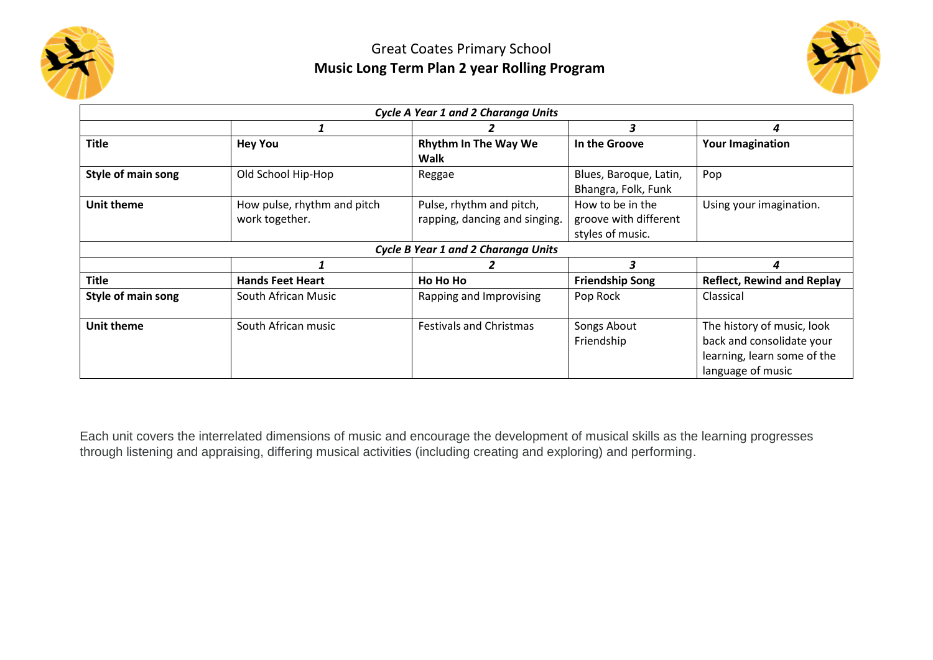



|                    |                                               | Cycle A Year 1 and 2 Charanga Units                       |                                                               |                                                                                                             |
|--------------------|-----------------------------------------------|-----------------------------------------------------------|---------------------------------------------------------------|-------------------------------------------------------------------------------------------------------------|
|                    |                                               |                                                           | 3                                                             | 4                                                                                                           |
| <b>Title</b>       | <b>Hey You</b>                                | <b>Rhythm In The Way We</b><br><b>Walk</b>                | In the Groove                                                 | <b>Your Imagination</b>                                                                                     |
| Style of main song | Old School Hip-Hop                            | Reggae                                                    | Blues, Baroque, Latin,<br>Bhangra, Folk, Funk                 | Pop                                                                                                         |
| <b>Unit theme</b>  | How pulse, rhythm and pitch<br>work together. | Pulse, rhythm and pitch,<br>rapping, dancing and singing. | How to be in the<br>groove with different<br>styles of music. | Using your imagination.                                                                                     |
|                    |                                               | <b>Cycle B Year 1 and 2 Charanga Units</b>                |                                                               |                                                                                                             |
|                    |                                               |                                                           | 3                                                             | 4                                                                                                           |
| <b>Title</b>       | <b>Hands Feet Heart</b>                       | Ho Ho Ho                                                  | <b>Friendship Song</b>                                        | <b>Reflect, Rewind and Replay</b>                                                                           |
| Style of main song | South African Music                           | Rapping and Improvising                                   | Pop Rock                                                      | Classical                                                                                                   |
| <b>Unit theme</b>  | South African music                           | <b>Festivals and Christmas</b>                            | Songs About<br>Friendship                                     | The history of music, look<br>back and consolidate your<br>learning, learn some of the<br>language of music |

Each unit covers the interrelated dimensions of music and encourage the development of musical skills as the learning progresses through listening and appraising, differing musical activities (including creating and exploring) and performing.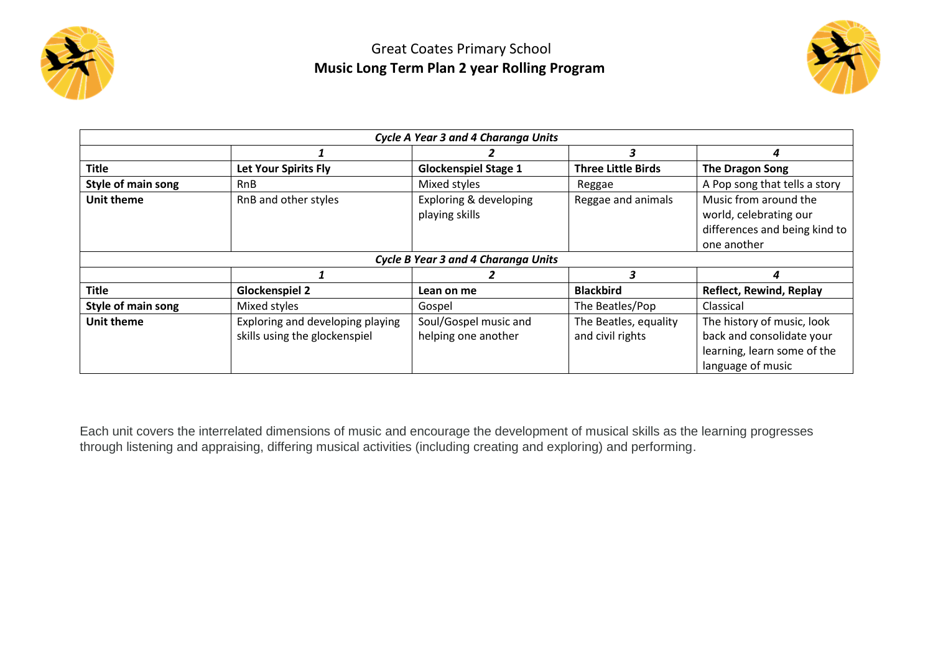

## Great Coates Primary School **Music Long Term Plan 2 year Rolling Program**



| Cycle A Year 3 and 4 Charanga Units |                                                                   |                                              |                                           |                                                                                                             |  |  |  |  |
|-------------------------------------|-------------------------------------------------------------------|----------------------------------------------|-------------------------------------------|-------------------------------------------------------------------------------------------------------------|--|--|--|--|
|                                     |                                                                   |                                              | 3                                         | 4                                                                                                           |  |  |  |  |
| <b>Title</b>                        | <b>Let Your Spirits Fly</b>                                       | <b>Glockenspiel Stage 1</b>                  | <b>Three Little Birds</b>                 | <b>The Dragon Song</b>                                                                                      |  |  |  |  |
| Style of main song                  | <b>RnB</b>                                                        | Mixed styles                                 | Reggae                                    | A Pop song that tells a story                                                                               |  |  |  |  |
| <b>Unit theme</b>                   | RnB and other styles                                              | Exploring & developing<br>playing skills     | Reggae and animals                        | Music from around the<br>world, celebrating our<br>differences and being kind to<br>one another             |  |  |  |  |
|                                     |                                                                   | Cycle B Year 3 and 4 Charanga Units          |                                           |                                                                                                             |  |  |  |  |
|                                     |                                                                   |                                              | 3                                         | 4                                                                                                           |  |  |  |  |
| <b>Title</b>                        | <b>Glockenspiel 2</b>                                             | Lean on me                                   | <b>Blackbird</b>                          | <b>Reflect, Rewind, Replay</b>                                                                              |  |  |  |  |
| Style of main song                  | Mixed styles                                                      | Gospel                                       | The Beatles/Pop                           | Classical                                                                                                   |  |  |  |  |
| <b>Unit theme</b>                   | Exploring and developing playing<br>skills using the glockenspiel | Soul/Gospel music and<br>helping one another | The Beatles, equality<br>and civil rights | The history of music, look<br>back and consolidate your<br>learning, learn some of the<br>language of music |  |  |  |  |

Each unit covers the interrelated dimensions of music and encourage the development of musical skills as the learning progresses through listening and appraising, differing musical activities (including creating and exploring) and performing.